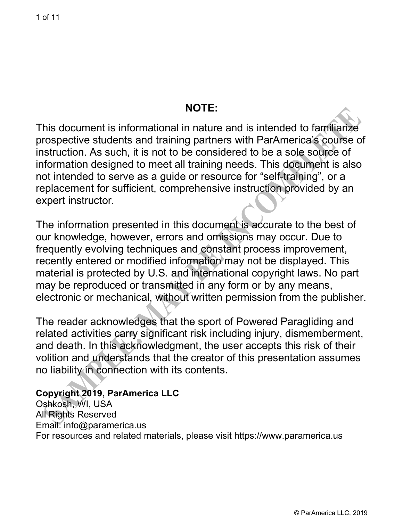## **NOTE:**

This document is informational in nature and is intended to familiarize prospective students and training partners with ParAmerica's course of instruction. As such, it is not to be considered to be a sole source of information designed to meet all training needs. This document is also not intended to serve as a guide or resource for "self-training", or a replacement for sufficient, comprehensive instruction provided by an expert instructor.

The information presented in this document is accurate to the best of our knowledge, however, errors and omissions may occur. Due to frequently evolving techniques and constant process improvement, recently entered or modified information may not be displayed. This material is protected by U.S. and international copyright laws. No part may be reproduced or transmitted in any form or by any means, electronic or mechanical, without written permission from the publisher.

The reader acknowledges that the sport of Powered Paragliding and related activities carry significant risk including injury, dismemberment, and death. In this acknowledgment, the user accepts this risk of their volition and understands that the creator of this presentation assumes no liability in connection with its contents.

### **Copyright 2019, ParAmerica LLC**

Oshkosh, WI, USA All Rights Reserved Email: info@paramerica.us For resources and related materials, please visit https://www.paramerica.us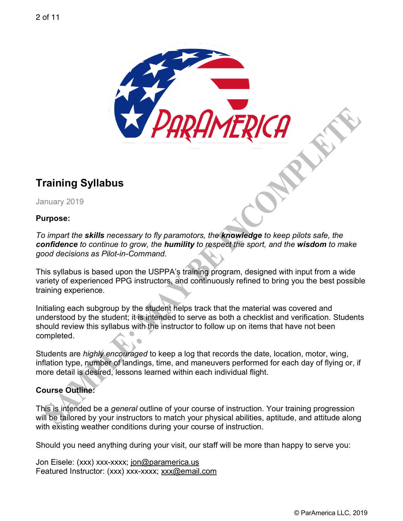

## **Training Syllabus**

January 2019

#### **Purpose:**

*To impart the skills necessary to fly paramotors, the knowledge to keep pilots safe, the confidence to continue to grow, the humility to respect the sport, and the wisdom to make good decisions as Pilot-in-Command.*

This syllabus is based upon the USPPA's training program, designed with input from a wide variety of experienced PPG instructors, and continuously refined to bring you the best possible training experience.

Initialing each subgroup by the student helps track that the material was covered and understood by the student; it is intended to serve as both a checklist and verification. Students should review this syllabus with the instructor to follow up on items that have not been completed.

Students are *highly encouraged* to keep a log that records the date, location, motor, wing, inflation type, number of landings, time, and maneuvers performed for each day of flying or, if more detail is desired, lessons learned within each individual flight.

### **Course Outline:**

This is intended be a *general* outline of your course of instruction. Your training progression will be tailored by your instructors to match your physical abilities, aptitude, and attitude along with existing weather conditions during your course of instruction.

Should you need anything during your visit, our staff will be more than happy to serve you:

Jon Eisele: (xxx) xxx-xxxx; jon@paramerica.us Featured Instructor: (xxx) xxx-xxxx; xxx@email.com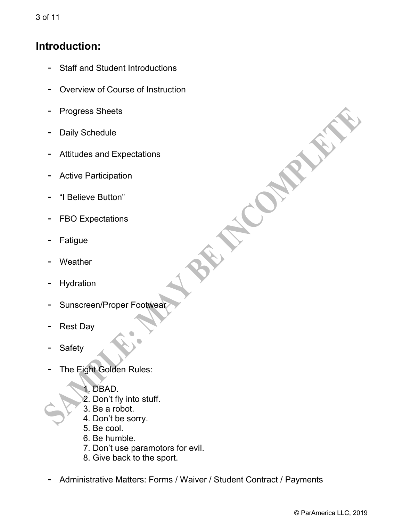3 of 11

## **Introduction:**

- **Staff and Student Introductions**
- Overview of Course of Instruction
- Progress Sheets
- Daily Schedule
- Attitudes and Expectations
- Active Participation
- "I Believe Button"
- FBO Expectations
- Fatigue
- **Weather**
- **Hydration**
- Sunscreen/Proper Footwear
- Rest Day
- **Safety**
- The Eight Golden Rules:
	- 1. DBAD.
	- 2. Don't fly into stuff.
	- 3. Be a robot.
	- 4. Don't be sorry.
	- 5. Be cool.
	- 6. Be humble.
	- 7. Don't use paramotors for evil.
	- 8. Give back to the sport.
- Administrative Matters: Forms / Waiver / Student Contract / Payments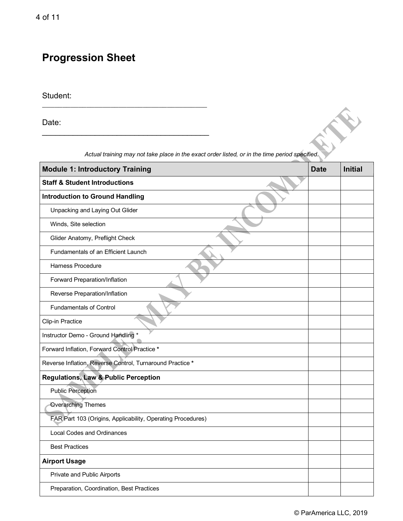# **Progression Sheet**

Student:

| Date:                                                                                          |             |                |
|------------------------------------------------------------------------------------------------|-------------|----------------|
| Actual training may not take place in the exact order listed, or in the time period specified. |             |                |
| <b>Module 1: Introductory Training</b>                                                         | <b>Date</b> | <b>Initial</b> |
| <b>Staff &amp; Student Introductions</b>                                                       |             |                |
| <b>Introduction to Ground Handling</b>                                                         |             |                |
| Unpacking and Laying Out Glider                                                                |             |                |
| Winds, Site selection                                                                          |             |                |
| Glider Anatomy, Preflight Check                                                                |             |                |
| Fundamentals of an Efficient Launch                                                            |             |                |
| <b>Harness Procedure</b>                                                                       |             |                |
| Forward Preparation/Inflation                                                                  |             |                |
| Reverse Preparation/Inflation                                                                  |             |                |
| <b>Fundamentals of Control</b>                                                                 |             |                |
| Clip-in Practice                                                                               |             |                |
| Instructor Demo - Ground Handling *                                                            |             |                |
| Forward Inflation, Forward Control Practice *                                                  |             |                |
| Reverse Inflation, Reverse Control, Turnaround Practice *                                      |             |                |
| <b>Regulations, Law &amp; Public Perception</b>                                                |             |                |
| <b>Public Perception</b>                                                                       |             |                |
| <b>Overarching Themes</b>                                                                      |             |                |
| FAR Part 103 (Origins, Applicability, Operating Procedures)                                    |             |                |
| <b>Local Codes and Ordinances</b>                                                              |             |                |
| <b>Best Practices</b>                                                                          |             |                |
| <b>Airport Usage</b>                                                                           |             |                |
| Private and Public Airports                                                                    |             |                |
| Preparation, Coordination, Best Practices                                                      |             |                |
|                                                                                                |             |                |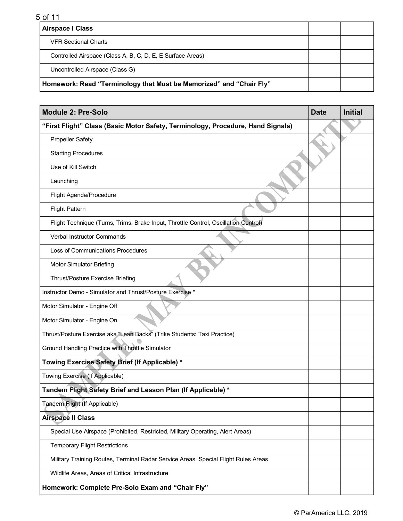5 of 11

| <b>Airspace I Class</b>                                             |  |
|---------------------------------------------------------------------|--|
| <b>VFR Sectional Charts</b>                                         |  |
| Controlled Airspace (Class A, B, C, D, E, E Surface Areas)          |  |
| Uncontrolled Airspace (Class G)                                     |  |
| Homework: Read "Terminology that Must be Memorized" and "Chair Fly" |  |

| <b>Module 2: Pre-Solo</b>                                                           |  | <b>Initial</b> |
|-------------------------------------------------------------------------------------|--|----------------|
| "First Flight" Class (Basic Motor Safety, Terminology, Procedure, Hand Signals)     |  |                |
| <b>Propeller Safety</b>                                                             |  |                |
| <b>Starting Procedures</b>                                                          |  |                |
| Use of Kill Switch                                                                  |  |                |
| Launching                                                                           |  |                |
| Flight Agenda/Procedure                                                             |  |                |
| <b>Flight Pattern</b>                                                               |  |                |
| Flight Technique (Turns, Trims, Brake Input, Throttle Control, Oscillation Control) |  |                |
| Verbal Instructor Commands                                                          |  |                |
| Loss of Communications Procedures                                                   |  |                |
| Motor Simulator Briefing                                                            |  |                |
| Thrust/Posture Exercise Briefing                                                    |  |                |
| Instructor Demo - Simulator and Thrust/Posture Exercise *                           |  |                |
| Motor Simulator - Engine Off                                                        |  |                |
| Motor Simulator - Engine On                                                         |  |                |
| Thrust/Posture Exercise aka "Lean Backs" (Trike Students: Taxi Practice)            |  |                |
| Ground Handling Practice with Throttle Simulator                                    |  |                |
| Towing Exercise Safety Brief (If Applicable) *                                      |  |                |
| Towing Exercise (If Applicable)                                                     |  |                |
| Tandem Flight Safety Brief and Lesson Plan (If Applicable) *                        |  |                |
| Tandem Flight (If Applicable)                                                       |  |                |
| <b>Airspace II Class</b>                                                            |  |                |
| Special Use Airspace (Prohibited, Restricted, Military Operating, Alert Areas)      |  |                |
| <b>Temporary Flight Restrictions</b>                                                |  |                |
| Military Training Routes, Terminal Radar Service Areas, Special Flight Rules Areas  |  |                |
| Wildlife Areas, Areas of Critical Infrastructure                                    |  |                |
| Homework: Complete Pre-Solo Exam and "Chair Fly"                                    |  |                |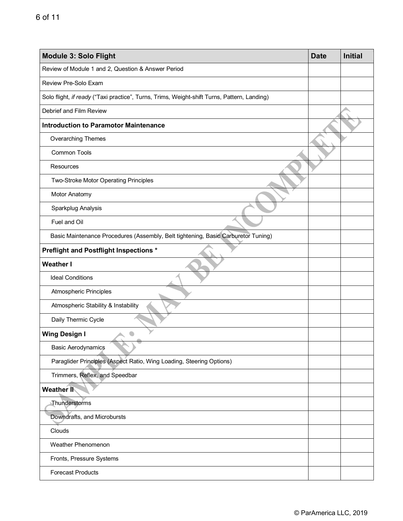| <b>Module 3: Solo Flight</b>                                                                |  | <b>Initial</b> |
|---------------------------------------------------------------------------------------------|--|----------------|
| Review of Module 1 and 2, Question & Answer Period                                          |  |                |
| Review Pre-Solo Exam                                                                        |  |                |
| Solo flight, if ready ("Taxi practice", Turns, Trims, Weight-shift Turns, Pattern, Landing) |  |                |
| Debrief and Film Review                                                                     |  |                |
| <b>Introduction to Paramotor Maintenance</b>                                                |  |                |
| Overarching Themes                                                                          |  |                |
| <b>Common Tools</b>                                                                         |  |                |
| Resources                                                                                   |  |                |
| Two-Stroke Motor Operating Principles                                                       |  |                |
| Motor Anatomy                                                                               |  |                |
| Sparkplug Analysis                                                                          |  |                |
| Fuel and Oil                                                                                |  |                |
| Basic Maintenance Procedures (Assembly, Belt tightening, Basic Carburetor Tuning)           |  |                |
| Preflight and Postflight Inspections *                                                      |  |                |
| <b>Weather I</b>                                                                            |  |                |
| <b>Ideal Conditions</b>                                                                     |  |                |
| Atmospheric Principles                                                                      |  |                |
| Atmospheric Stability & Instability                                                         |  |                |
| Daily Thermic Cycle                                                                         |  |                |
| <b>Wing Design I</b>                                                                        |  |                |
| <b>Basic Aerodynamics</b>                                                                   |  |                |
| Paraglider Principles (Aspect Ratio, Wing Loading, Steering Options)                        |  |                |
| Trimmers, Reflex, and Speedbar                                                              |  |                |
| <b>Weather II</b>                                                                           |  |                |
| Thunderstorms                                                                               |  |                |
| Downdrafts, and Microbursts                                                                 |  |                |
| Clouds                                                                                      |  |                |
| Weather Phenomenon                                                                          |  |                |
| Fronts, Pressure Systems                                                                    |  |                |
| <b>Forecast Products</b>                                                                    |  |                |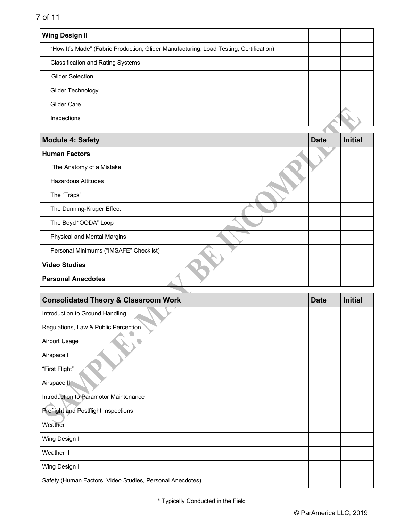#### 7 of 11

| <b>Wing Design II</b>                                                                  |  |
|----------------------------------------------------------------------------------------|--|
| "How It's Made" (Fabric Production, Glider Manufacturing, Load Testing, Certification) |  |
| <b>Classification and Rating Systems</b>                                               |  |
| <b>Glider Selection</b>                                                                |  |
| Glider Technology                                                                      |  |
| Glider Care                                                                            |  |
| Inspections                                                                            |  |
|                                                                                        |  |

| <b>Module 4: Safety</b>                | <b>Date</b> | <b>Initial</b> |
|----------------------------------------|-------------|----------------|
| <b>Human Factors</b>                   |             |                |
| The Anatomy of a Mistake               |             |                |
| <b>Hazardous Attitudes</b>             |             |                |
| The "Traps"                            |             |                |
| The Dunning-Kruger Effect              |             |                |
| The Boyd "OODA" Loop                   |             |                |
| <b>Physical and Mental Margins</b>     |             |                |
| Personal Minimums ("IMSAFE" Checklist) |             |                |
| <b>Video Studies</b>                   |             |                |
| <b>Personal Anecdotes</b>              |             |                |
|                                        |             |                |

| <b>Consolidated Theory &amp; Classroom Work</b>           | <b>Date</b> | <b>Initial</b> |
|-----------------------------------------------------------|-------------|----------------|
| Introduction to Ground Handling                           |             |                |
| Regulations, Law & Public Perception                      |             |                |
| Airport Usage                                             |             |                |
| Airspace I                                                |             |                |
| "First Flight"                                            |             |                |
| Airspace II                                               |             |                |
| Introduction to Paramotor Maintenance                     |             |                |
| Preflight and Postflight Inspections                      |             |                |
| Weather I                                                 |             |                |
| Wing Design I                                             |             |                |
| Weather II                                                |             |                |
| Wing Design II                                            |             |                |
| Safety (Human Factors, Video Studies, Personal Anecdotes) |             |                |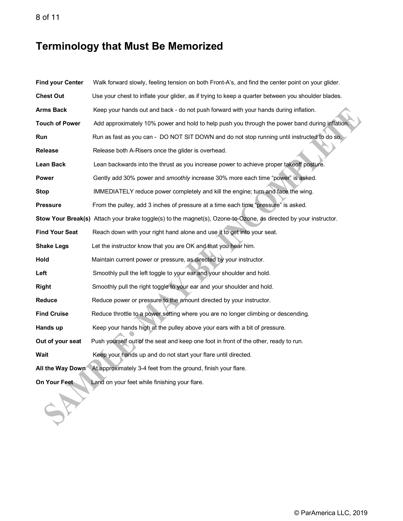# **Terminology that Must Be Memorized**

| <b>Find your Center</b> | Walk forward slowly, feeling tension on both Front-A's, and find the center point on your glider.                |
|-------------------------|------------------------------------------------------------------------------------------------------------------|
| <b>Chest Out</b>        | Use your chest to inflate your glider, as if trying to keep a quarter between you shoulder blades.               |
| <b>Arms Back</b>        | Keep your hands out and back - do not push forward with your hands during inflation.                             |
| <b>Touch of Power</b>   | Add approximately 10% power and hold to help push you through the power band during inflation.                   |
| Run                     | Run as fast as you can - DO NOT SIT DOWN and do not stop running until instructed to do so.                      |
| <b>Release</b>          | Release both A-Risers once the glider is overhead.                                                               |
| <b>Lean Back</b>        | Lean backwards into the thrust as you increase power to achieve proper takeoff posture.                          |
| Power                   | Gently add 30% power and smoothly increase 30% more each time "power" is asked.                                  |
| Stop                    | IMMEDIATELY reduce power completely and kill the engine; turn and face the wing.                                 |
| <b>Pressure</b>         | From the pulley, add 3 inches of pressure at a time each time "pressure" is asked.                               |
|                         | Stow Your Break(s) Attach your brake toggle(s) to the magnet(s), Ozone-to-Ozone, as directed by your instructor. |
| <b>Find Your Seat</b>   | Reach down with your right hand alone and use it to get into your seat.                                          |
| <b>Shake Legs</b>       | Let the instructor know that you are OK and that you hear him.                                                   |
| Hold                    | Maintain current power or pressure, as directed by your instructor.                                              |
| Left                    | Smoothly pull the left toggle to your ear and your shoulder and hold.                                            |
| <b>Right</b>            | Smoothly pull the right toggle to your ear and your shoulder and hold.                                           |
| <b>Reduce</b>           | Reduce power or pressure to the amount directed by your instructor.                                              |
| <b>Find Cruise</b>      | Reduce throttle to a power setting where you are no longer climbing or descending.                               |
| Hands up                | Keep your hands high at the pulley above your ears with a bit of pressure.                                       |
| Out of your seat        | Push yourself out of the seat and keep one foot in front of the other, ready to run.                             |
| Wait                    | Keep your hands up and do not start your flare until directed.                                                   |
| All the Way Down        | At approximately 3-4 feet from the ground, finish your flare.                                                    |
| On Your Feet            | Land on your feet while finishing your flare.                                                                    |

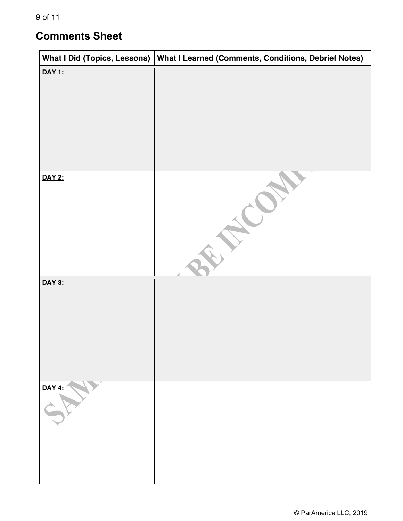## **Comments Sheet**

| <b>What I Did (Topics, Lessons)</b> | What I Learned (Comments, Conditions, Debrief Notes) |
|-------------------------------------|------------------------------------------------------|
| DAY 1:                              |                                                      |
| DAY 2:                              |                                                      |
| <b>DAY 3:</b>                       |                                                      |
| <b>DAY 4:</b>                       |                                                      |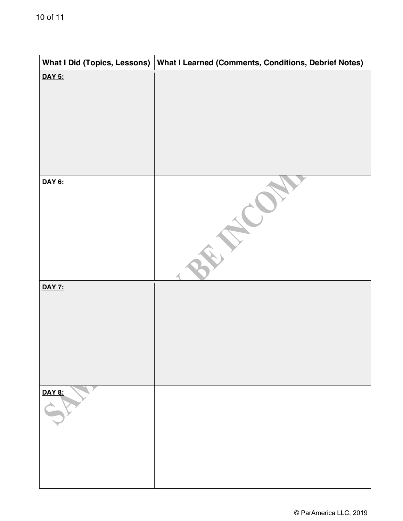| What I Did (Topics, Lessons) | What I Learned (Comments, Conditions, Debrief Notes) |
|------------------------------|------------------------------------------------------|
| <b>DAY 5:</b>                |                                                      |
| DAY 6:                       |                                                      |
| <b>DAY 7:</b>                |                                                      |
| DAY 8:                       |                                                      |